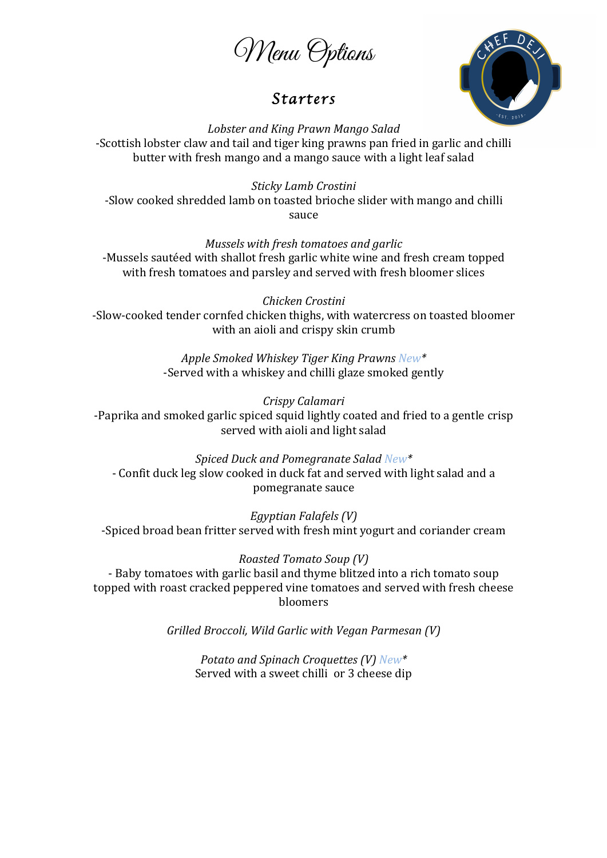Menu Options

## *Starters*



*Lobster and King Prawn Mango Salad* -Scottish lobster claw and tail and tiger king prawns pan fried in garlic and chilli butter with fresh mango and a mango sauce with a light leaf salad

*Sticky Lamb Crostini* -Slow cooked shredded lamb on toasted brioche slider with mango and chilli sauce

*Mussels* with fresh tomatoes and garlic

-Mussels sautéed with shallot fresh garlic white wine and fresh cream topped with fresh tomatoes and parsley and served with fresh bloomer slices

*Chicken Crostini* -Slow-cooked tender cornfed chicken thighs, with watercress on toasted bloomer with an aioli and crispy skin crumb

> *Apple Smoked Whiskey Tiger King Prawns New\** -Served with a whiskey and chilli glaze smoked gently

*Crispy Calamari* -Paprika and smoked garlic spiced squid lightly coated and fried to a gentle crisp served with aioli and light salad

*Spiced Duck and Pomegranate Salad New\** - Confit duck leg slow cooked in duck fat and served with light salad and a pomegranate sauce

*Egyptian Falafels (V)* -Spiced broad bean fritter served with fresh mint yogurt and coriander cream

*Roasted Tomato Soup (V)* - Baby tomatoes with garlic basil and thyme blitzed into a rich tomato soup topped with roast cracked peppered vine tomatoes and served with fresh cheese bloomers

*Grilled Broccoli, Wild Garlic with Vegan Parmesan (V)*

*Potato* and *Spinach Croquettes* (V) *New\** Served with a sweet chilli or 3 cheese dip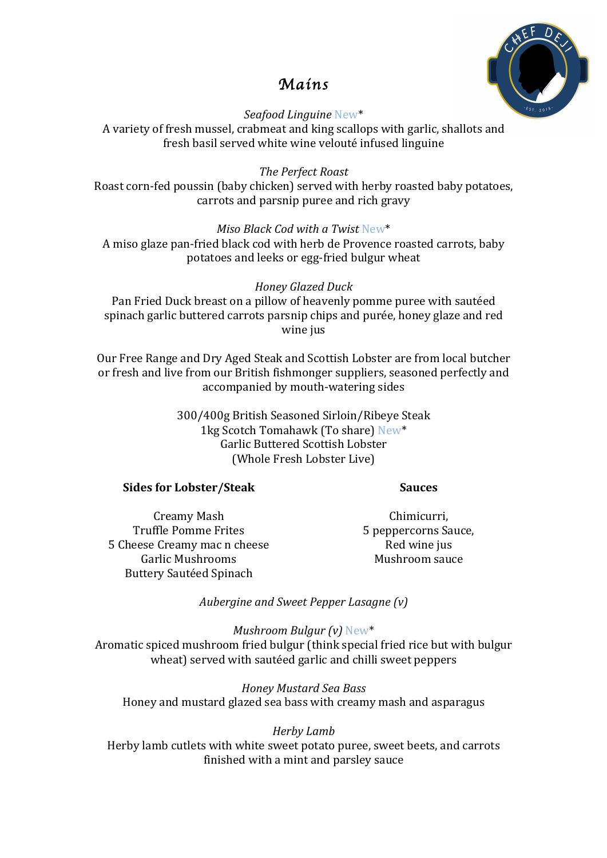

# *Mains*

*Seafood Linguine* New\* A variety of fresh mussel, crabmeat and king scallops with garlic, shallots and fresh basil served white wine velouté infused linguine

*The Perfect Roast* Roast corn-fed poussin (baby chicken) served with herby roasted baby potatoes, carrots and parsnip puree and rich gravy

*Miso Black Cod with a Twist* New\* A miso glaze pan-fried black cod with herb de Provence roasted carrots, baby potatoes and leeks or egg-fried bulgur wheat

### *Honey Glazed Duck*

Pan Fried Duck breast on a pillow of heavenly pomme puree with sautéed spinach garlic buttered carrots parsnip chips and purée, honey glaze and red wine jus

Our Free Range and Dry Aged Steak and Scottish Lobster are from local butcher or fresh and live from our British fishmonger suppliers, seasoned perfectly and accompanied by mouth-watering sides

> 300/400g British Seasoned Sirloin/Ribeye Steak 1kg Scotch Tomahawk (To share) New\* Garlic Buttered Scottish Lobster (Whole Fresh Lobster Live)

#### **Sides for Lobster/Steak**

#### **Sauces**

Creamy Mash Truffle Pomme Frites 5 Cheese Creamy mac n cheese Garlic Mushrooms Buttery Sautéed Spinach

Chimicurri, 5 peppercorns Sauce, Red wine jus Mushroom sauce

*Aubergine and Sweet Pepper Lasagne* (v)

*Mushroom Bulgur (v)* New\* Aromatic spiced mushroom fried bulgur (think special fried rice but with bulgur wheat) served with sautéed garlic and chilli sweet peppers

*Honey Mustard Sea Bass* Honey and mustard glazed sea bass with creamy mash and asparagus

#### *Herby Lamb*

Herby lamb cutlets with white sweet potato puree, sweet beets, and carrots finished with a mint and parsley sauce